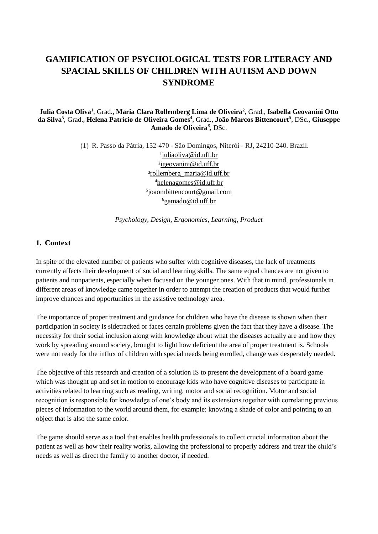# **GAMIFICATION OF PSYCHOLOGICAL TESTS FOR LITERACY AND SPACIAL SKILLS OF CHILDREN WITH AUTISM AND DOWN SYNDROME**

#### **Julia Costa Oliva<sup>1</sup>** , Grad., **Maria Clara Rollemberg Lima de Oliveira<sup>2</sup>** , Grad., **Isabella Geovanini Otto da Silva<sup>3</sup>** , Grad., **Helena Patrício de Oliveira Gomes***<sup>4</sup>* , Grad., **João Marcos Bittencourt***<sup>5</sup>* , DSc., **Giuseppe Amado de Oliveira***<sup>6</sup>* , DSc.

(1) R. Passo da Pátria, 152-470 - São Domingos, Niterói - RJ, 24210-240. Brazil. [¹juliaoliva@id.uff.br](mailto:juliaoliva@id.uff.br) ²igeovanini@id.uff.br ³rollemberg\_maria@id.uff.br <sup>4</sup>[helenagomes@id.uff.br](mailto:helenagomes@id.uff.br) <sup>5</sup>joaombittencourt@gmail.com  $^6$ gamado@id.uff.br

*Psychology, Design, Ergonomics, Learning, Product*

### **1. Context**

In spite of the elevated number of patients who suffer with cognitive diseases, the lack of treatments currently affects their development of social and learning skills. The same equal chances are not given to patients and nonpatients, especially when focused on the younger ones. With that in mind, professionals in different areas of knowledge came together in order to attempt the creation of products that would further improve chances and opportunities in the assistive technology area.

The importance of proper treatment and guidance for children who have the disease is shown when their participation in society is sidetracked or faces certain problems given the fact that they have a disease. The necessity for their social inclusion along with knowledge about what the diseases actually are and how they work by spreading around society, brought to light how deficient the area of proper treatment is. Schools were not ready for the influx of children with special needs being enrolled, change was desperately needed.

The objective of this research and creation of a solution IS to present the development of a board game which was thought up and set in motion to encourage kids who have cognitive diseases to participate in activities related to learning such as reading, writing, motor and social recognition. Motor and social recognition is responsible for knowledge of one's body and its extensions together with correlating previous pieces of information to the world around them, for example: knowing a shade of color and pointing to an object that is also the same color.

The game should serve as a tool that enables health professionals to collect crucial information about the patient as well as how their reality works, allowing the professional to properly address and treat the child's needs as well as direct the family to another doctor, if needed.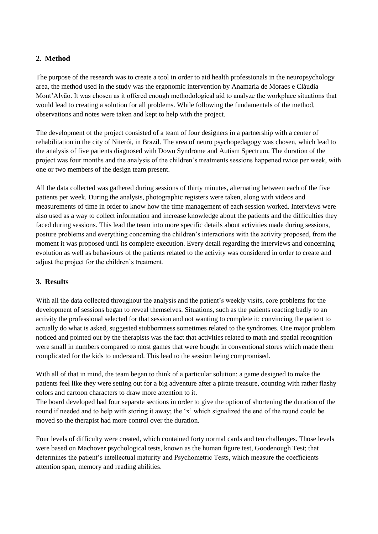## **2. Method**

The purpose of the research was to create a tool in order to aid health professionals in the neuropsychology area, the method used in the study was the ergonomic intervention by Anamaria de Moraes e Cláudia Mont'Alvão. It was chosen as it offered enough methodological aid to analyze the workplace situations that would lead to creating a solution for all problems. While following the fundamentals of the method, observations and notes were taken and kept to help with the project.

The development of the project consisted of a team of four designers in a partnership with a center of rehabilitation in the city of Niterói, in Brazil. The area of neuro psychopedagogy was chosen, which lead to the analysis of five patients diagnosed with Down Syndrome and Autism Spectrum. The duration of the project was four months and the analysis of the children's treatments sessions happened twice per week, with one or two members of the design team present.

All the data collected was gathered during sessions of thirty minutes, alternating between each of the five patients per week. During the analysis, photographic registers were taken, along with videos and measurements of time in order to know how the time management of each session worked. Interviews were also used as a way to collect information and increase knowledge about the patients and the difficulties they faced during sessions. This lead the team into more specific details about activities made during sessions, posture problems and everything concerning the children's interactions with the activity proposed, from the moment it was proposed until its complete execution. Every detail regarding the interviews and concerning evolution as well as behaviours of the patients related to the activity was considered in order to create and adjust the project for the children's treatment.

#### **3. Results**

With all the data collected throughout the analysis and the patient's weekly visits, core problems for the development of sessions began to reveal themselves. Situations, such as the patients reacting badly to an activity the professional selected for that session and not wanting to complete it; convincing the patient to actually do what is asked, suggested stubbornness sometimes related to the syndromes. One major problem noticed and pointed out by the therapists was the fact that activities related to math and spatial recognition were small in numbers compared to most games that were bought in conventional stores which made them complicated for the kids to understand. This lead to the session being compromised.

With all of that in mind, the team began to think of a particular solution: a game designed to make the patients feel like they were setting out for a big adventure after a pirate treasure, counting with rather flashy colors and cartoon characters to draw more attention to it.

The board developed had four separate sections in order to give the option of shortening the duration of the round if needed and to help with storing it away; the 'x' which signalized the end of the round could be moved so the therapist had more control over the duration.

Four levels of difficulty were created, which contained forty normal cards and ten challenges. Those levels were based on Machover psychological tests, known as the human figure test, Goodenough Test; that determines the patient's intellectual maturity and Psychometric Tests, which measure the coefficients attention span, memory and reading abilities.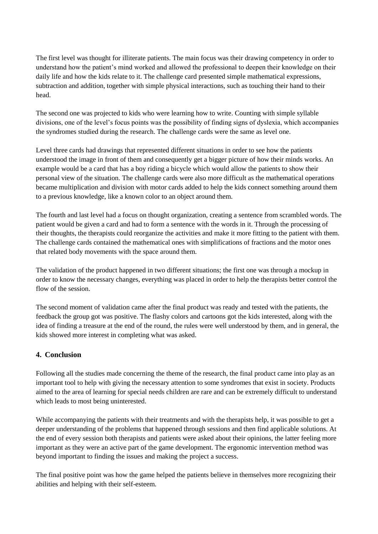The first level was thought for illiterate patients. The main focus was their drawing competency in order to understand how the patient's mind worked and allowed the professional to deepen their knowledge on their daily life and how the kids relate to it. The challenge card presented simple mathematical expressions, subtraction and addition, together with simple physical interactions, such as touching their hand to their head.

The second one was projected to kids who were learning how to write. Counting with simple syllable divisions, one of the level's focus points was the possibility of finding signs of dyslexia, which accompanies the syndromes studied during the research. The challenge cards were the same as level one.

Level three cards had drawings that represented different situations in order to see how the patients understood the image in front of them and consequently get a bigger picture of how their minds works. An example would be a card that has a boy riding a bicycle which would allow the patients to show their personal view of the situation. The challenge cards were also more difficult as the mathematical operations became multiplication and division with motor cards added to help the kids connect something around them to a previous knowledge, like a known color to an object around them.

The fourth and last level had a focus on thought organization, creating a sentence from scrambled words. The patient would be given a card and had to form a sentence with the words in it. Through the processing of their thoughts, the therapists could reorganize the activities and make it more fitting to the patient with them. The challenge cards contained the mathematical ones with simplifications of fractions and the motor ones that related body movements with the space around them.

The validation of the product happened in two different situations; the first one was through a mockup in order to know the necessary changes, everything was placed in order to help the therapists better control the flow of the session.

The second moment of validation came after the final product was ready and tested with the patients, the feedback the group got was positive. The flashy colors and cartoons got the kids interested, along with the idea of finding a treasure at the end of the round, the rules were well understood by them, and in general, the kids showed more interest in completing what was asked.

# **4. Conclusion**

Following all the studies made concerning the theme of the research, the final product came into play as an important tool to help with giving the necessary attention to some syndromes that exist in society. Products aimed to the area of learning for special needs children are rare and can be extremely difficult to understand which leads to most being uninterested.

While accompanying the patients with their treatments and with the therapists help, it was possible to get a deeper understanding of the problems that happened through sessions and then find applicable solutions. At the end of every session both therapists and patients were asked about their opinions, the latter feeling more important as they were an active part of the game development. The ergonomic intervention method was beyond important to finding the issues and making the project a success.

The final positive point was how the game helped the patients believe in themselves more recognizing their abilities and helping with their self-esteem.